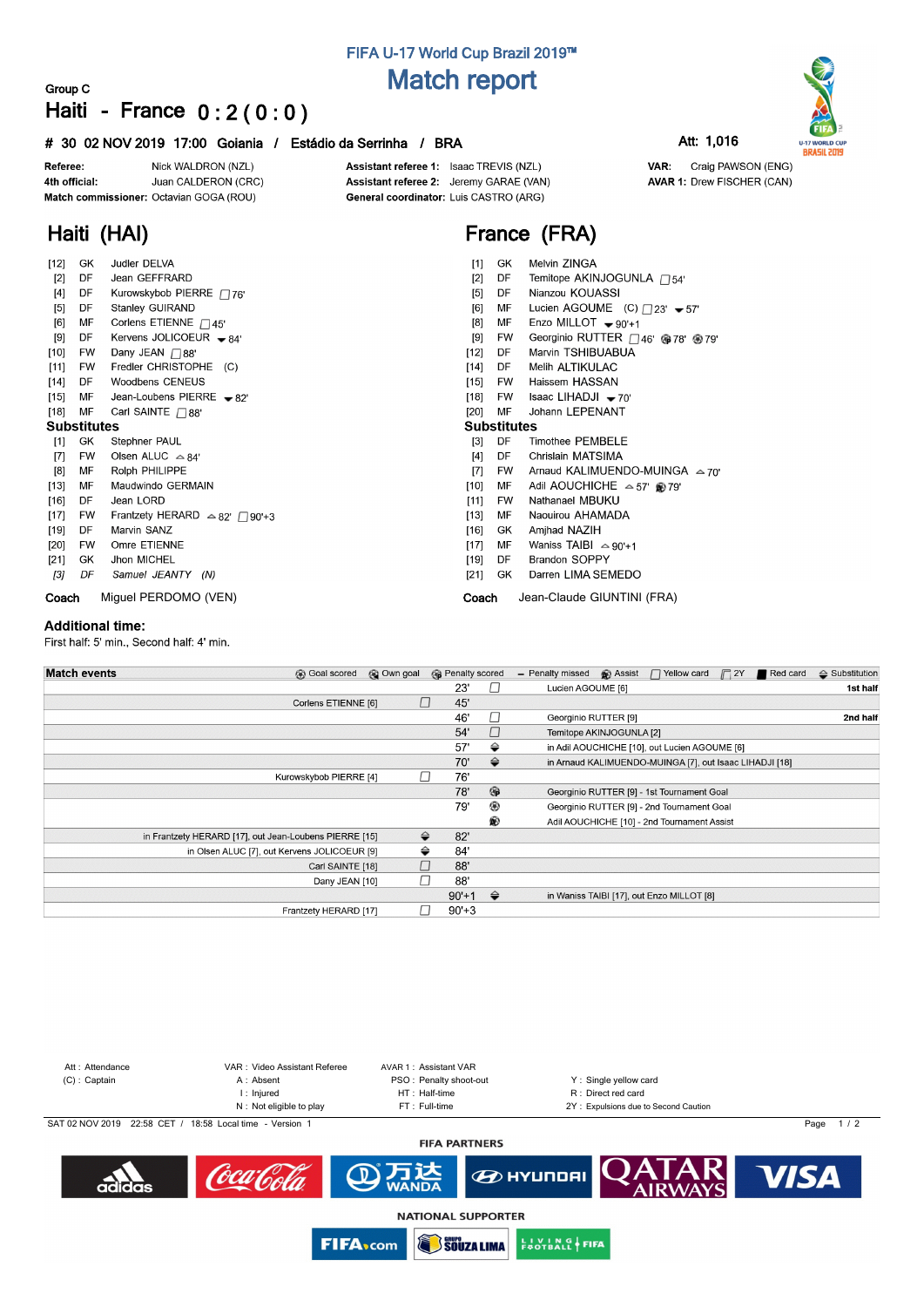# **FIFA U-17 World Cup Brazil 2019™ Match report**

## **Group C Haiti - France 0 : 2 ( 0 : 0 )**

## **# 30 02 NOV 2019 17:00 Goiania / Estádio da Serrinha / BRA Att: 1,016**

Nick WALDRON (NZL) Referee: Juan CALDERON (CRC) 4th official: Match commissioner: Octavian GOGA (ROU)

**Haiti (HAI)**

Assistant referee 1: Isaac TREVIS (NZL) Assistant referee 2: Jeremy GARAE (VAN) General coordinator: Luis CASTRO (ARG)

# **France (FRA)**

| [12]               | GK        | Judler DELVA                            | $[1]$  | GK                 | Melvin ZINGA                                                                          |  |  |  |  |  |  |  |  |
|--------------------|-----------|-----------------------------------------|--------|--------------------|---------------------------------------------------------------------------------------|--|--|--|--|--|--|--|--|
| $[2]$              | DF        | Jean GEFFRARD                           | $[2]$  | DF                 | Temitope AKINJOGUNLA <sub>□54'</sub>                                                  |  |  |  |  |  |  |  |  |
| $[4]$              | DF        | Kurowskybob PIERRE $\Box$ 76'           | $[5]$  | DF                 | Nianzou KOUASSI                                                                       |  |  |  |  |  |  |  |  |
| [5]                | DF        | Stanley GUIRAND                         |        | МF                 | Lucien AGOUME (C) $\Box$ 23' $\blacktriangleright$ 57'                                |  |  |  |  |  |  |  |  |
| [6]                | МF        | Corlens ETIENNE $\Box$ 45'              | [8]    | MF                 | Enzo MILLOT $\bullet$ 90'+1<br>Georginio RUTTER <sub>46</sub> ' @78' <sup>@</sup> 79' |  |  |  |  |  |  |  |  |
| [9]                | DF        | Kervens JOLICOEUR $-84$                 | [9]    | FW                 |                                                                                       |  |  |  |  |  |  |  |  |
| $[10]$             | <b>FW</b> | Dany JEAN □ 88'                         | $[12]$ | DF                 | Marvin TSHIBUABUA                                                                     |  |  |  |  |  |  |  |  |
| $[11]$             | FW        | Fredler CHRISTOPHE (C)                  | $[14]$ | DF                 | Melih ALTIKULAC                                                                       |  |  |  |  |  |  |  |  |
| $[14]$             | DF        | <b>Woodbens CENEUS</b>                  | $[15]$ | FW                 | Haissem HASSAN                                                                        |  |  |  |  |  |  |  |  |
| $[15]$             | МF        | Jean-Loubens PIERRE $\rightarrow$ 82'   | $[18]$ | FW                 | Isaac LIHADJI $-70$                                                                   |  |  |  |  |  |  |  |  |
| $[18]$             | MF        | Carl SAINTE $\Box$ 88'                  | [20]   | MF                 | Johann LEPENANT                                                                       |  |  |  |  |  |  |  |  |
| <b>Substitutes</b> |           |                                         |        | <b>Substitutes</b> |                                                                                       |  |  |  |  |  |  |  |  |
| [1]                | GK        | Stephner PAUL                           | $[3]$  | DF                 | <b>Timothee PEMBELE</b>                                                               |  |  |  |  |  |  |  |  |
| [7]                | <b>FW</b> | Olsen ALUC $\triangle 84'$              | $[4]$  | DF                 | Chrislain MATSIMA                                                                     |  |  |  |  |  |  |  |  |
| [8]                | МF        | Rolph PHILIPPE                          | $[7]$  | <b>FW</b>          | Arnaud KALIMUENDO-MUINGA $\approx$ 70'                                                |  |  |  |  |  |  |  |  |
| $[13]$             | МF        | Maudwindo GERMAIN                       | $[10]$ | MF                 | Adil AOUCHICHE $\approx$ 57' @ 79'                                                    |  |  |  |  |  |  |  |  |
| $[16]$             | DF        | Jean LORD                               | $[11]$ | FW                 | Nathanael MBUKU                                                                       |  |  |  |  |  |  |  |  |
| $[17]$             | FW        | Frantzety HERARD $\triangle 82'$ 790'+3 | $[13]$ | МF                 | Naouirou AHAMADA                                                                      |  |  |  |  |  |  |  |  |
| $[19]$             | DF        | Marvin SANZ                             | $[16]$ | GK                 | Amjhad NAZIH                                                                          |  |  |  |  |  |  |  |  |
| $[20]$             | FW        | Omre ETIENNE                            | $[17]$ | MF                 | Waniss TAIBI $\approx$ 90'+1                                                          |  |  |  |  |  |  |  |  |
| $[21]$             | GK        | Jhon MICHEL                             | $[19]$ | DF                 | <b>Brandon SOPPY</b>                                                                  |  |  |  |  |  |  |  |  |
| [3]                | DF        | Samuel JEANTY (N)                       | $[21]$ | GK                 | Darren LIMA SEMEDO                                                                    |  |  |  |  |  |  |  |  |
| Coach              |           | Miquel PERDOMO (VEN)                    | Coach  |                    | Jean-Claude GIUNTINI (FRA)                                                            |  |  |  |  |  |  |  |  |

### **Additional time:**

First half: 5' min., Second half: 4' min.

| <b>Match events</b><br><b>B</b> Goal scored            | @ Own goal | <b>B</b> Penalty scored |                | <b>B</b> Assist<br>$\Box$ Yellow card $\Box$ 2Y<br>Red card<br>- Penalty missed | $\Leftrightarrow$ Substitution |
|--------------------------------------------------------|------------|-------------------------|----------------|---------------------------------------------------------------------------------|--------------------------------|
|                                                        |            | 23'                     |                | Lucien AGOUME [6]                                                               | 1st half                       |
| Corlens ETIENNE [6]                                    | $\Box$     | 45'                     |                |                                                                                 |                                |
|                                                        |            | 46'                     | $\Box$         | Georginio RUTTER [9]                                                            | 2nd half                       |
|                                                        |            | 54'                     | $\Box$         | Temitope AKINJOGUNLA [2]                                                        |                                |
|                                                        |            | 57'                     | ⇔              | in Adil AOUCHICHE [10], out Lucien AGOUME [6]                                   |                                |
|                                                        |            | 70'                     | $\Rightarrow$  | in Arnaud KALIMUENDO-MUINGA [7], out Isaac LIHADJI [18]                         |                                |
| Kurowskybob PIERRE [4]                                 | П          | 76'                     |                |                                                                                 |                                |
|                                                        |            | 78'                     | $\circledcirc$ | Georginio RUTTER [9] - 1st Tournament Goal                                      |                                |
|                                                        |            | 79'                     | ⊛              | Georginio RUTTER [9] - 2nd Tournament Goal                                      |                                |
|                                                        |            |                         | ®              | Adil AOUCHICHE [10] - 2nd Tournament Assist                                     |                                |
| in Frantzety HERARD [17], out Jean-Loubens PIERRE [15] | ⇔          | 82'                     |                |                                                                                 |                                |
| in Olsen ALUC [7], out Kervens JOLICOEUR [9]           | ⇔          | 84'                     |                |                                                                                 |                                |
| Carl SAINTE [18]                                       | П          | 88'                     |                |                                                                                 |                                |
| Dany JEAN [10]                                         |            | 88'                     |                |                                                                                 |                                |
|                                                        |            | $90'+1$                 | $\Rightarrow$  | in Waniss TAIBI [17], out Enzo MILLOT [8]                                       |                                |
| Frantzety HERARD [17]                                  |            | $90'+3$                 |                |                                                                                 |                                |



**NATIONAL SUPPORTER SOUZA LIMA** 

**FIFA**<sub>com</sub>

**ENOTBALL FIFA** 





VAR: Craig PAWSON (ENG) **AVAR 1: Drew FISCHER (CAN)**